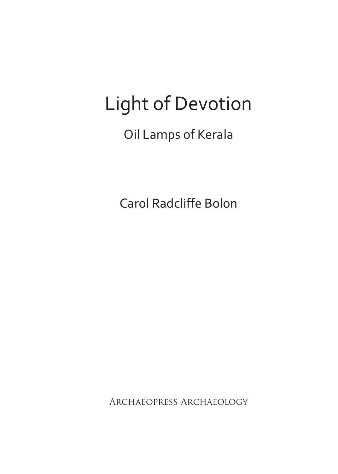# Light of Devotion

## Oil Lamps of Kerala

Carol Radcliffe Bolon

Archaeopress Archaeology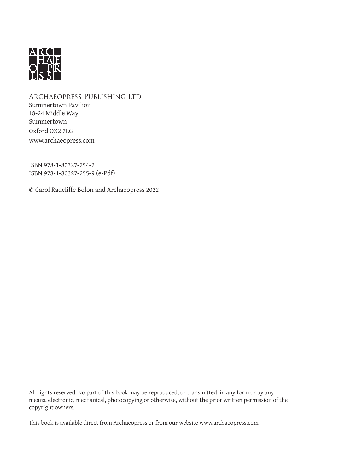

Archaeopress Publishing Ltd Summertown Pavilion 18-24 Middle Way Summertown Oxford OX2 7LG www.archaeopress.com

ISBN 978-1-80327-254-2 ISBN 978-1-80327-255-9 (e-Pdf)

© Carol Radcliffe Bolon and Archaeopress 2022

All rights reserved. No part of this book may be reproduced, or transmitted, in any form or by any means, electronic, mechanical, photocopying or otherwise, without the prior written permission of the copyright owners.

This book is available direct from Archaeopress or from our website www.archaeopress.com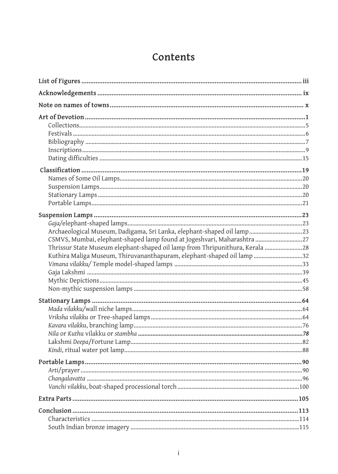### Contents

| Archaeological Museum, Dadigama, Sri Lanka, elephant-shaped oil lamp23<br>CSMVS, Mumbai, elephant-shaped lamp found at Jogeshvari, Maharashtra  27<br>Thrissur State Museum elephant-shaped oil lamp from Thripunithura, Kerala 28<br>Kuthira Maliga Museum, Thiruvananthapuram, elephant-shaped oil lamp 32 |  |
|--------------------------------------------------------------------------------------------------------------------------------------------------------------------------------------------------------------------------------------------------------------------------------------------------------------|--|
|                                                                                                                                                                                                                                                                                                              |  |
|                                                                                                                                                                                                                                                                                                              |  |
|                                                                                                                                                                                                                                                                                                              |  |
|                                                                                                                                                                                                                                                                                                              |  |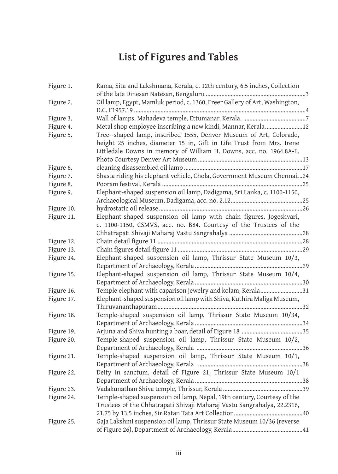## **List of Figures and Tables**

| Figure 1.  | Rama, Sita and Lakshmana, Kerala, c. 12th century, 6.5 inches, Collection                                                                                                                                         |
|------------|-------------------------------------------------------------------------------------------------------------------------------------------------------------------------------------------------------------------|
| Figure 2.  | Oil lamp, Egypt, Mamluk period, c. 1360, Freer Gallery of Art, Washington,                                                                                                                                        |
| Figure 3.  |                                                                                                                                                                                                                   |
| Figure 4.  | Metal shop employee inscribing a new kindi, Mannar, Kerala12                                                                                                                                                      |
| Figure 5.  | Tree--shaped lamp, inscribed 1555, Denver Museum of Art, Colorado,<br>height 25 inches, diameter 15 in, Gift in Life Trust from Mrs. Irene<br>Littledale Downs in memory of William H. Downs, acc. no. 1964.8A-E. |
| Figure 6.  |                                                                                                                                                                                                                   |
| Figure 7.  | Shasta riding his elephant vehicle, Chola, Government Museum Chennai,24                                                                                                                                           |
| Figure 8.  |                                                                                                                                                                                                                   |
| Figure 9.  | Elephant-shaped suspension oil lamp, Dadigama, Sri Lanka, c. 1100-1150,                                                                                                                                           |
|            |                                                                                                                                                                                                                   |
| Figure 10. |                                                                                                                                                                                                                   |
| Figure 11. | Elephant-shaped suspension oil lamp with chain figures, Jogeshvari,                                                                                                                                               |
|            | c. 1100-1150, CSMVS, acc. no. B84. Courtesy of the Trustees of the                                                                                                                                                |
|            |                                                                                                                                                                                                                   |
| Figure 12. |                                                                                                                                                                                                                   |
| Figure 13. |                                                                                                                                                                                                                   |
| Figure 14. | Elephant-shaped suspension oil lamp, Thrissur State Museum 10/3,                                                                                                                                                  |
|            |                                                                                                                                                                                                                   |
| Figure 15. | Elephant-shaped suspension oil lamp, Thrissur State Museum 10/4,                                                                                                                                                  |
| Figure 16. | Temple elephant with caparison jewelry and kolam, Kerala31                                                                                                                                                        |
| Figure 17. | Elephant-shaped suspension oil lamp with Shiva, Kuthira Maliga Museum,                                                                                                                                            |
|            |                                                                                                                                                                                                                   |
| Figure 18. | Temple-shaped suspension oil lamp, Thrissur State Museum 10/34,                                                                                                                                                   |
|            |                                                                                                                                                                                                                   |
| Figure 19. |                                                                                                                                                                                                                   |
| Figure 20. | Temple-shaped suspension oil lamp, Thrissur State Museum 10/2,                                                                                                                                                    |
|            |                                                                                                                                                                                                                   |
| Figure 21. | Temple-shaped suspension oil lamp, Thrissur State Museum 10/1,                                                                                                                                                    |
|            |                                                                                                                                                                                                                   |
| Figure 22. | Deity in sanctum, detail of Figure 21, Thrissur State Museum 10/1                                                                                                                                                 |
|            |                                                                                                                                                                                                                   |
| Figure 23. |                                                                                                                                                                                                                   |
| Figure 24. | Temple-shaped suspension oil lamp, Nepal, 19th century, Courtesy of the<br>Trustees of the Chhatrapati Shivaji Maharaj Vastu Sangrahalya, 22.2316,                                                                |
| Figure 25. | Gaja Lakshmi suspension oil lamp, Thrissur State Museum 10/36 (reverse                                                                                                                                            |
|            |                                                                                                                                                                                                                   |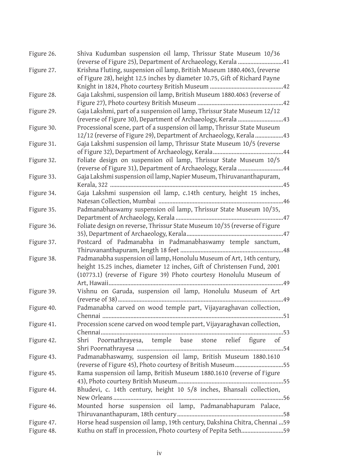| Figure 26. | Shiva Kudumban suspension oil lamp, Thrissur State Museum 10/36<br>(reverse of Figure 25), Department of Archaeology, Kerala 41                        |
|------------|--------------------------------------------------------------------------------------------------------------------------------------------------------|
| Figure 27. | Krishna Fluting, suspension oil lamp, British Museum 1880.4063, (reverse<br>of Figure 28), height 12.5 inches by diameter 10.75, Gift of Richard Payne |
|            |                                                                                                                                                        |
| Figure 28. | Gaja Lakshmi, suspension oil lamp, British Museum 1880.4063 (reverse of                                                                                |
|            |                                                                                                                                                        |
| Figure 29. | Gaja Lakshmi, part of a suspension oil lamp, Thrissur State Museum 12/12                                                                               |
|            | (reverse of Figure 30), Department of Archaeology, Kerala 43                                                                                           |
| Figure 30. | Processional scene, part of a suspension oil lamp, Thrissur State Museum                                                                               |
|            | 12/12 (reverse of Figure 29), Department of Archaeology, Kerala 43                                                                                     |
| Figure 31. | Gaja Lakshmi suspension oil lamp, Thrissur State Museum 10/5 (reverse                                                                                  |
|            |                                                                                                                                                        |
| Figure 32. | Foliate design on suspension oil lamp, Thrissur State Museum 10/5                                                                                      |
|            | (reverse of Figure 31), Department of Archaeology, Kerala 44                                                                                           |
| Figure 33. | Gaja Lakshmi suspension oil lamp, Napier Museum, Thiruvananthapuram,                                                                                   |
|            |                                                                                                                                                        |
| Figure 34. | Gaja Lakshmi suspension oil lamp, c.14th century, height 15 inches,                                                                                    |
|            |                                                                                                                                                        |
| Figure 35. | Padmanabhaswamy suspension oil lamp, Thrissur State Museum 10/35,                                                                                      |
|            |                                                                                                                                                        |
| Figure 36. | Foliate design on reverse, Thrissur State Museum 10/35 (reverse of Figure                                                                              |
|            |                                                                                                                                                        |
| Figure 37. | Postcard of Padmanabha in Padmanabhaswamy temple sanctum,                                                                                              |
|            |                                                                                                                                                        |
| Figure 38. | Padmanabha suspension oil lamp, Honolulu Museum of Art, 14th century,                                                                                  |
|            | height 15.25 inches, diameter 12 inches, Gift of Christensen Fund, 2001                                                                                |
|            | (10773.1) (reverse of Figure 39) Photo courtesy Honolulu Museum of                                                                                     |
|            | ……49                                                                                                                                                   |
| Figure 39. | Vishnu on Garuda, suspension oil lamp, Honolulu Museum of Art                                                                                          |
|            | <b></b> 49                                                                                                                                             |
| Figure 40. | Padmanabha carved on wood temple part, Vijayaraghavan collection,                                                                                      |
|            | Chennai<br>51                                                                                                                                          |
| Figure 41. | Procession scene carved on wood temple part, Vijayaraghavan collection,                                                                                |
|            | Chennai<br>53                                                                                                                                          |
| Figure 42. | Poornathrayesa, temple base stone relief figure of<br>Shri                                                                                             |
|            |                                                                                                                                                        |
| Figure 43. | Padmanabhaswamy, suspension oil lamp, British Museum 1880.1610                                                                                         |
|            | (reverse of Figure 45), Photo courtesy of British Museum55                                                                                             |
| Figure 45. | Rama suspension oil lamp, British Museum 1880.1610 (reverse of Figure                                                                                  |
|            |                                                                                                                                                        |
|            | Bhudevi, c. 14th century, height 10 5/8 inches, Bhansali collection,                                                                                   |
| Figure 44. |                                                                                                                                                        |
|            | Mounted horse suspension oil lamp, Padmanabhapuram Palace,                                                                                             |
| Figure 46. |                                                                                                                                                        |
|            | Horse head suspension oil lamp, 19th century, Dakshina Chitra, Chennai  59                                                                             |
| Figure 47. |                                                                                                                                                        |
| Figure 48. | Kuthu on staff in procession, Photo courtesy of Pepita Seth59                                                                                          |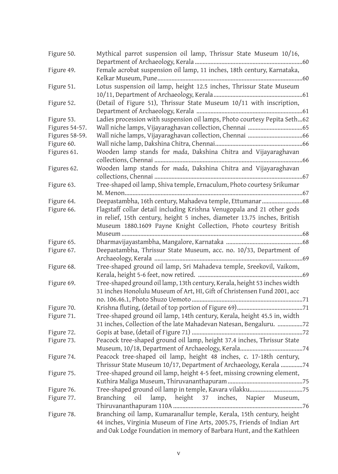| Figure 50.     | Mythical parrot suspension oil lamp, Thrissur State Museum 10/16,                |
|----------------|----------------------------------------------------------------------------------|
|                |                                                                                  |
| Figure 49.     | Female acrobat suspension oil lamp, 11 inches, 18th century, Karnataka,          |
| Figure 51.     | Lotus suspension oil lamp, height 12.5 inches, Thrissur State Museum             |
|                |                                                                                  |
| Figure 52.     | (Detail of Figure 51), Thrissur State Museum 10/11 with inscription,             |
|                |                                                                                  |
| Figure 53.     | Ladies procession with suspension oil lamps, Photo courtesy Pepita Seth62        |
| Figures 54-57. |                                                                                  |
| Figures 58-59. |                                                                                  |
| Figure 60.     |                                                                                  |
| Figures 61.    | Wooden lamp stands for mada, Dakshina Chitra and Vijayaraghavan                  |
|                |                                                                                  |
| Figures 62.    | Wooden lamp stands for mada, Dakshina Chitra and Vijayaraghavan                  |
|                |                                                                                  |
| Figure 63.     | Tree-shaped oil lamp, Shiva temple, Ernaculum, Photo courtesy Srikumar           |
| Figure 64.     | Deepastambha, 16th century, Mahadeva temple, Ettumanar68                         |
| Figure 66.     | Flagstaff collar detail including Krishna Venugopala and 21 other gods           |
|                | in relief, 15th century, height 5 inches, diameter 13.75 inches, British         |
|                | Museum 1880.1609 Payne Knight Collection, Photo courtesy British                 |
|                |                                                                                  |
| Figure 65.     |                                                                                  |
| Figure 67.     | Deepastambha, Thrissur State Museum, acc. no. 10/33, Department of               |
|                |                                                                                  |
| Figure 68.     | Tree-shaped ground oil lamp, Sri Mahadeva temple, Sreekovil, Vaikom,             |
|                |                                                                                  |
| Figure 69.     | Tree-shaped ground oil lamp, 13th century, Kerala, height 53 inches width        |
|                | 31 inches Honolulu Museum of Art, HI, Gift of Christensen Fund 2001, acc         |
|                |                                                                                  |
| Figure 70.     |                                                                                  |
| Figure 71.     | Tree-shaped ground oil lamp, 14th century, Kerala, height 45.5 in, width         |
|                | 31 inches, Collection of the late Mahadevan Natesan, Bengaluru. 72               |
| Figure 72.     |                                                                                  |
| Figure 73.     | Peacock tree-shaped ground oil lamp, height 37.4 inches, Thrissur State          |
|                |                                                                                  |
| Figure 74.     | Peacock tree-shaped oil lamp, height 48 inches, c. 17-18th century,              |
|                | Thrissur State Museum 10/17, Department of Archaeology, Kerala 74                |
| Figure 75.     | Tree-shaped ground oil lamp, height 4-5 feet, missing crowning element,          |
|                |                                                                                  |
| Figure 76.     |                                                                                  |
| Figure 77.     | oil<br>lamp,<br>height<br>37<br>inches,<br><b>Branching</b><br>Napier<br>Museum, |
| Figure 78.     | Branching oil lamp, Kumaranallur temple, Kerala, 15th century, height            |
|                | 44 inches, Virginia Museum of Fine Arts, 2005.75, Friends of Indian Art          |
|                | and Oak Lodge Foundation in memory of Barbara Hunt, and the Kathleen             |
|                |                                                                                  |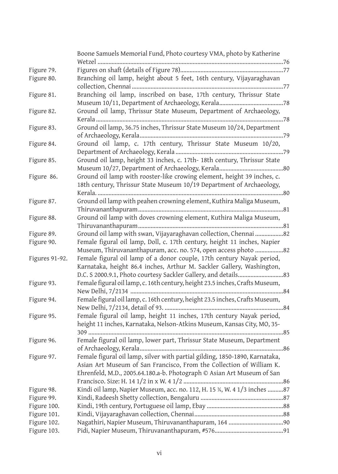|                | Boone Samuels Memorial Fund, Photo courtesy VMA, photo by Katherine          |
|----------------|------------------------------------------------------------------------------|
|                | Wetzel                                                                       |
| Figure 79.     |                                                                              |
| Figure 80.     | Branching oil lamp, height about 5 feet, 16th century, Vijayaraghavan        |
|                | <br>77                                                                       |
| Figure 81.     | Branching oil lamp, inscribed on base, 17th century, Thrissur State          |
|                |                                                                              |
| Figure 82.     | Ground oil lamp, Thrissur State Museum, Department of Archaeology,           |
|                |                                                                              |
| Figure 83.     | Ground oil lamp, 36.75 inches, Thrissur State Museum 10/24, Department       |
|                |                                                                              |
| Figure 84.     | Ground oil lamp, c. 17th century, Thrissur State Museum 10/20,               |
|                |                                                                              |
| Figure 85.     | Ground oil lamp, height 33 inches, c. 17th- 18th century, Thrissur State     |
|                |                                                                              |
| Figure 86.     | Ground oil lamp with rooster-like crowing element, height 39 inches, c.      |
|                | 18th century, Thrissur State Museum 10/19 Department of Archaeology,         |
|                |                                                                              |
| Figure 87.     | Ground oil lamp with peahen crowning element, Kuthira Maliga Museum,         |
|                |                                                                              |
| Figure 88.     | Ground oil lamp with doves crowning element, Kuthira Maliga Museum,          |
|                |                                                                              |
| Figure 89.     | Ground oil lamp with swan, Vijayaraghavan collection, Chennai 82             |
| Figure 90.     | Female figural oil lamp, Doll, c. 17th century, height 11 inches, Napier     |
|                | Museum, Thiruvananthapuram, acc. no. 574, open access photo 82               |
| Figures 91-92. | Female figural oil lamp of a donor couple, 17th century Nayak period,        |
|                | Karnataka, height 86.4 inches, Arthur M. Sackler Gallery, Washington,        |
|                |                                                                              |
| Figure 93.     | Female figural oil lamp, c. 16th century, height 23.5 inches, Crafts Museum, |
|                | 84                                                                           |
| Figure 94.     | Female figural oil lamp, c. 16th century, height 23.5 inches, Crafts Museum, |
|                |                                                                              |
| Figure 95.     | Female figural oil lamp, height 11 inches, 17th century Nayak period,        |
|                | height 11 inches, Karnataka, Nelson-Atkins Museum, Kansas City, MO, 35-      |
|                | $309$                                                                        |
| Figure 96.     | Female figural oil lamp, lower part, Thrissur State Museum, Department       |
|                |                                                                              |
| Figure 97.     | Female figural oil lamp, silver with partial gilding, 1850-1890, Karnataka,  |
|                | Asian Art Museum of San Francisco, From the Collection of William K.         |
|                | Ehrenfeld, M.D., 2005.64.180.a-b. Photograph © Asian Art Museum of San       |
|                |                                                                              |
| Figure 98.     | Kindi oil lamp, Napier Museum, acc. no. 112, H. 15 %, W. 4 1/3 inches 87     |
| Figure 99.     |                                                                              |
| Figure 100.    |                                                                              |
| Figure 101.    |                                                                              |
| Figure 102.    |                                                                              |
| Figure 103.    |                                                                              |
|                |                                                                              |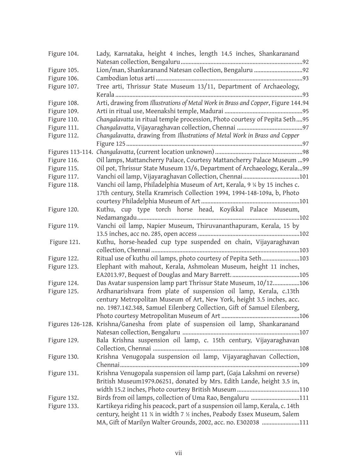| Figure 104. | Lady, Karnataka, height 4 inches, length 14.5 inches, Shankaranand                |
|-------------|-----------------------------------------------------------------------------------|
| Figure 105. |                                                                                   |
| Figure 106. |                                                                                   |
| Figure 107. | Tree arti, Thrissur State Museum 13/11, Department of Archaeology,                |
|             |                                                                                   |
| Figure 108. | Arti, drawing from Illustrations of Metal Work in Brass and Copper, Figure 144.94 |
| Figure 109. |                                                                                   |
| Figure 110. | Changalavatta in ritual temple procession, Photo courtesy of Pepita Seth95        |
| Figure 111. |                                                                                   |
| Figure 112. | Changalavatta, drawing from Illustrations of Metal Work in Brass and Copper       |
|             |                                                                                   |
|             |                                                                                   |
| Figure 116. | Oil lamps, Mattancherry Palace, Courtesy Mattancherry Palace Museum  99           |
| Figure 115. | Oil pot, Thrissur State Museum 13/6, Department of Archaeology, Kerala99          |
| Figure 117. |                                                                                   |
| Figure 118. | Vanchi oil lamp, Philadelphia Museum of Art, Kerala, 9 1/4 by 15 inches c.        |
|             | 17th century, Stella Kramrisch Collection 1994, 1994-148-109a, b, Photo           |
|             |                                                                                   |
| Figure 120. | Kuthu, cup type torch horse head, Koyikkal Palace Museum,                         |
|             |                                                                                   |
| Figure 119. | Vanchi oil lamp, Napier Museum, Thiruvananthapuram, Kerala, 15 by                 |
|             |                                                                                   |
| Figure 121. | Kuthu, horse-headed cup type suspended on chain, Vijayaraghavan                   |
|             |                                                                                   |
| Figure 122. | Ritual use of kuthu oil lamps, photo courtesy of Pepita Seth103                   |
| Figure 123. | Elephant with mahout, Kerala, Ashmolean Museum, height 11 inches,                 |
|             |                                                                                   |
| Figure 124. | Das Avatar suspension lamp part Thrissur State Museum, 10/12106                   |
| Figure 125. | Ardhanarishvara from plate of suspension oil lamp, Kerala, c.13th                 |
|             | century Metropolitan Museum of Art, New York, height 3.5 inches, acc.             |
|             | no. 1987.142.348, Samuel Eilenberg Collection, Gift of Samuel Eilenberg,          |
|             | Figures 126-128. Krishna/Ganesha from plate of suspension oil lamp, Shankaranand  |
|             |                                                                                   |
| Figure 129. | Bala Krishna suspension oil lamp, c. 15th century, Vijayaraghavan                 |
|             |                                                                                   |
| Figure 130. | Krishna Venugopala suspension oil lamp, Vijayaraghavan Collection,                |
|             |                                                                                   |
| Figure 131. | Krishna Venugopala suspension oil lamp part, (Gaja Lakshmi on reverse)            |
|             | British Museum1979.06251, donated by Mrs. Edith Lande, height 3.5 in,             |
|             |                                                                                   |
| Figure 132. | Birds from oil lamps, collection of Uma Rao, Bengaluru 111                        |
| Figure 133. | Kartikeya riding his peacock, part of a suspension oil lamp, Kerala, c. 14th      |
|             | century, height 11 % in width 7 % inches, Peabody Essex Museum, Salem             |
|             | MA, Gift of Marilyn Walter Grounds, 2002, acc. no. E302038 111                    |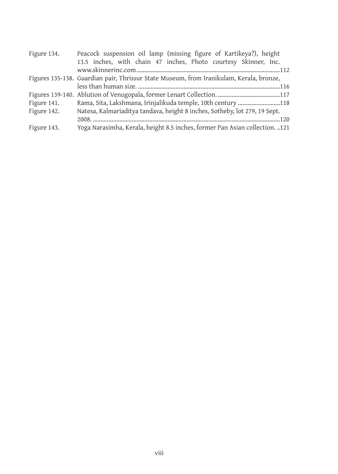| Figure 134. | Peacock suspension oil lamp (missing figure of Kartikeya?), height                      |
|-------------|-----------------------------------------------------------------------------------------|
|             | 13.5 inches, with chain 47 inches, Photo courtesy Skinner, Inc.                         |
|             |                                                                                         |
|             | Figures 135-138. Guardian pair, Thrissur State Museum, from Iranikulam, Kerala, bronze, |
|             |                                                                                         |
|             |                                                                                         |
| Figure 141. | Rama, Sita, Lakshmana, Irinjalikuda temple, 10th century 118                            |
| Figure 142. | Natesa, Kalmariaditya tandava, height 8 inches, Sotheby, lot 279, 19 Sept.              |
|             |                                                                                         |
| Figure 143. | Yoga Narasimha, Kerala, height 8.5 inches, former Pan Asian collection. 121             |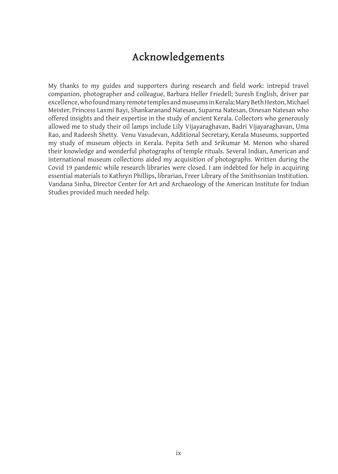### **Acknowledgements**

My thanks to my guides and supporters during research and field work: intrepid travel companion, photographer and colleague, Barbara Heller Friedell; Suresh English, driver par excellence, who found many remote temples and museums in Kerala; Mary Beth Heston, Michael Meister, Princess Laxmi Bayi, Shankaranand Natesan, Suparna Natesan, Dinesan Natesan who offered insights and their expertise in the study of ancient Kerala. Collectors who generously allowed me to study their oil lamps include Lily Vijayaraghavan, Badri Vijayaraghavan, Uma Rao, and Radeesh Shetty. Venu Vasudevan, Additional Secretary, Kerala Museums, supported my study of museum objects in Kerala. Pepita Seth and Srikumar M. Menon who shared their knowledge and wonderful photographs of temple rituals. Several Indian, American and international museum collections aided my acquisition of photographs. Written during the Covid 19 pandemic while research libraries were closed. I am indebted for help in acquiring essential materials to Kathryn Phillips, librarian, Freer Library of the Smithsonian Institution. Vandana Sinha, Director Center for Art and Archaeology of the American Institute for Indian Studies provided much needed help.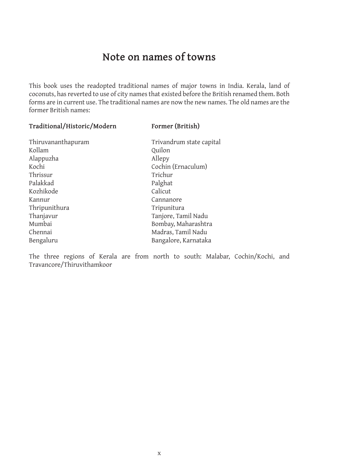### **Note on names of towns**

This book uses the readopted traditional names of major towns in India. Kerala, land of coconuts, has reverted to use of city names that existed before the British renamed them. Both forms are in current use. The traditional names are now the new names. The old names are the former British names:

#### **Traditional/Historic/Modern Former (British)**

Alappuzha Allepy Kochi Cochin (Ernaculum) Thrissur Trichur Palakkad Palghat Kozhikode Kannur Cannanore Thripunithura Tripunitura Thanjavur Tanjore, Tamil Nadu Bengaluru Bangalore, Karnataka

Thiruvananthapuram Trivandrum state capital<br>Kollam Ouilon Quilon Mumbai Bombay, Maharashtra Madras, Tamil Nadu

The three regions of Kerala are from north to south: Malabar, Cochin/Kochi, and Travancore/Thiruvithamkoor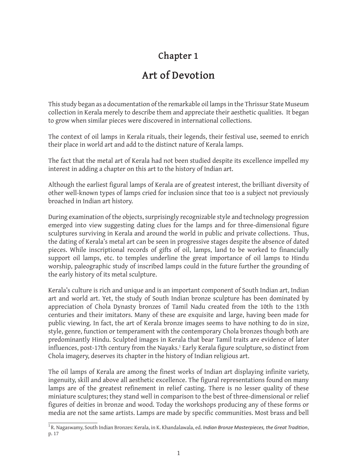### **Chapter 1**

### **Art of Devotion**

This study began as a documentation of the remarkable oil lamps in the Thrissur State Museum collection in Kerala merely to describe them and appreciate their aesthetic qualities. It began to grow when similar pieces were discovered in international collections.

The context of oil lamps in Kerala rituals, their legends, their festival use, seemed to enrich their place in world art and add to the distinct nature of Kerala lamps.

The fact that the metal art of Kerala had not been studied despite its excellence impelled my interest in adding a chapter on this art to the history of Indian art.

Although the earliest figural lamps of Kerala are of greatest interest, the brilliant diversity of other well-known types of lamps cried for inclusion since that too is a subject not previously broached in Indian art history.

During examination of the objects, surprisingly recognizable style and technology progression emerged into view suggesting dating clues for the lamps and for three-dimensional figure sculptures surviving in Kerala and around the world in public and private collections. Thus, the dating of Kerala's metal art can be seen in progressive stages despite the absence of dated pieces. While inscriptional records of gifts of oil, lamps, land to be worked to financially support oil lamps, etc. to temples underline the great importance of oil lamps to Hindu worship, paleographic study of inscribed lamps could in the future further the grounding of the early history of its metal sculpture.

Kerala's culture is rich and unique and is an important component of South Indian art, Indian art and world art. Yet, the study of South Indian bronze sculpture has been dominated by appreciation of Chola Dynasty bronzes of Tamil Nadu created from the 10th to the 13th centuries and their imitators. Many of these are exquisite and large, having been made for public viewing. In fact, the art of Kerala bronze images seems to have nothing to do in size, style, genre, function or temperament with the contemporary Chola bronzes though both are predominantly Hindu. Sculpted images in Kerala that bear Tamil traits are evidence of later influences, post-17th century from the Nayaks.1 Early Kerala figure sculpture, so distinct from Chola imagery, deserves its chapter in the history of Indian religious art.

The oil lamps of Kerala are among the finest works of Indian art displaying infinite variety, ingenuity, skill and above all aesthetic excellence. The figural representations found on many lamps are of the greatest refinement in relief casting. There is no lesser quality of these miniature sculptures; they stand well in comparison to the best of three-dimensional or relief figures of deities in bronze and wood. Today the workshops producing any of these forms or media are not the same artists. Lamps are made by specific communities. Most brass and bell

<sup>1</sup> R. Nagaswamy, South Indian Bronzes: Kerala, in K. Khandalawala, ed. *Indian Bronze Masterpieces, the Great Tradition*, p. 17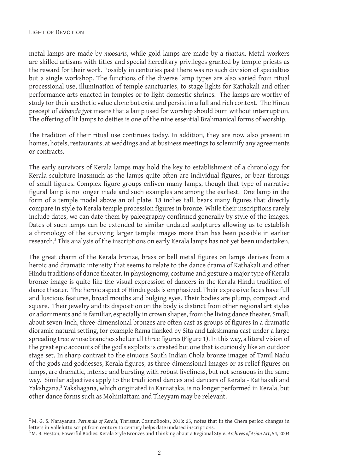metal lamps are made by *moosaris*, while gold lamps are made by a *thattan*. Metal workers are skilled artisans with titles and special hereditary privileges granted by temple priests as the reward for their work. Possibly in centuries past there was no such division of specialties but a single workshop. The functions of the diverse lamp types are also varied from ritual processional use, illumination of temple sanctuaries, to stage lights for Kathakali and other performance arts enacted in temples or to light domestic shrines. The lamps are worthy of study for their aesthetic value alone but exist and persist in a full and rich context. The Hindu precept of *akhanda jyot* means that a lamp used for worship should burn without interruption. The offering of lit lamps to deities is one of the nine essential Brahmanical forms of worship.

The tradition of their ritual use continues today. In addition, they are now also present in homes, hotels, restaurants, at weddings and at business meetings to solemnify any agreements or contracts.

The early survivors of Kerala lamps may hold the key to establishment of a chronology for Kerala sculpture inasmuch as the lamps quite often are individual figures, or bear throngs of small figures. Complex figure groups enliven many lamps, though that type of narrative figural lamp is no longer made and such examples are among the earliest. One lamp in the form of a temple model above an oil plate, 18 inches tall, bears many figures that directly compare in style to Kerala temple procession figures in bronze. While their inscriptions rarely include dates, we can date them by paleography confirmed generally by style of the images. Dates of such lamps can be extended to similar undated sculptures allowing us to establish a chronology of the surviving larger temple images more than has been possible in earlier research.<sup>2</sup> This analysis of the inscriptions on early Kerala lamps has not yet been undertaken.

The great charm of the Kerala bronze, brass or bell metal figures on lamps derives from a heroic and dramatic intensity that seems to relate to the dance drama of Kathakali and other Hindu traditions of dance theater. In physiognomy, costume and gesture a major type of Kerala bronze image is quite like the visual expression of dancers in the Kerala Hindu tradition of dance theater. The heroic aspect of Hindu gods is emphasized. Their expressive faces have full and luscious features, broad mouths and bulging eyes. Their bodies are plump, compact and square. Their jewelry and its disposition on the body is distinct from other regional art styles or adornments and is familiar, especially in crown shapes, from the living dance theater. Small, about seven-inch, three-dimensional bronzes are often cast as groups of figures in a dramatic dioramic natural setting, for example Rama flanked by Sita and Lakshmana cast under a large spreading tree whose branches shelter all three figures (Figure 1). In this way, a literal vision of the great epic accounts of the god's exploits is created but one that is curiously like an outdoor stage set. In sharp contrast to the sinuous South Indian Chola bronze images of Tamil Nadu of the gods and goddesses, Kerala figures, as three-dimensional images or as relief figures on lamps, are dramatic, intense and bursting with robust liveliness, but not sensuous in the same way. Similar adjectives apply to the traditional dances and dancers of Kerala - Kathakali and Yakshgana.<sup>3</sup> Yakshagana, which originated in Karnataka, is no longer performed in Kerala, but other dance forms such as Mohiniattam and Theyyam may be relevant.

<sup>2</sup> M. G. S. Narayanan, *Perumals of Kerala*, Thrissur, CosmoBooks, 2018: 25, notes that in the Chera period changes in letters in Valleluttu script from century to century helps date undated inscriptions.

<sup>3</sup> M. B. Heston, Powerful Bodies: Kerala Style Bronzes and Thinking about a Regional Style, *Archives of Asian Art*, 54, 2004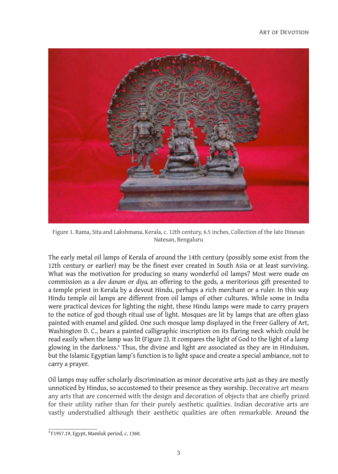

Figure 1. Rama, Sita and Lakshmana, Kerala, c. 12th century, 6.5 inches, Collection of the late Dinesan Natesan, Bengaluru

The early metal oil lamps of Kerala of around the 14th century (possibly some exist from the 12th century or earlier) may be the finest ever created in South Asia or at least surviving. What was the motivation for producing so many wonderful oil lamps? Most were made on commission as a *dev danam* or *diya,* an offering to the gods*,* a meritorious gift presented to a temple priest in Kerala by a devout Hindu, perhaps a rich merchant or a ruler. In this way Hindu temple oil lamps are different from oil lamps of other cultures. While some in India were practical devices for lighting the night, these Hindu lamps were made to carry prayers to the notice of god though ritual use of light. Mosques are lit by lamps that are often glass painted with enamel and gilded. One such mosque lamp displayed in the Freer Gallery of Art, Washington D. C., bears a painted calligraphic inscription on its flaring neck which could be read easily when the lamp was lit (Figure 2). It compares the light of God to the light of a lamp glowing in the darkness.4 Thus, the divine and light are associated as they are in Hinduism, but the Islamic Egyptian lamp's function is to light space and create a special ambiance, not to carry a prayer.

Oil lamps may suffer scholarly discrimination as minor decorative arts just as they are mostly unnoticed by Hindus, so accustomed to their presence as they worship. Decorative art means any arts that are concerned with the design and decoration of objects that are chiefly prized for their utility rather than for their purely aesthetic qualities. Indian decorative arts are vastly understudied although their aesthetic qualities are often remarkable. Around the

 $4$  F1957.19, Egypt, Mamluk period, c. 1360.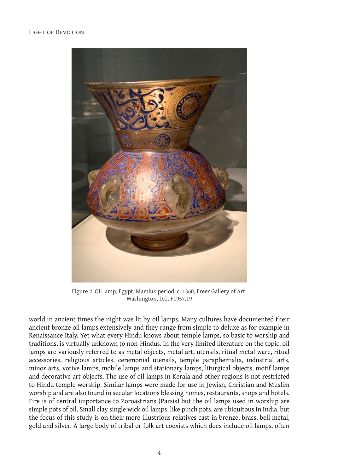

Figure 2. Oil lamp, Egypt, Mamluk period, c. 1360, Freer Gallery of Art, Washington, D.C. F1957.19

world in ancient times the night was lit by oil lamps. Many cultures have documented their ancient bronze oil lamps extensively and they range from simple to deluxe as for example in Renaissance Italy. Yet what every Hindu knows about temple lamps, so basic to worship and traditions, is virtually unknown to non-Hindus. In the very limited literature on the topic, oil lamps are variously referred to as metal objects, metal art, utensils, ritual metal ware, ritual accessories, religious articles, ceremonial utensils, temple paraphernalia, industrial arts, minor arts, votive lamps, mobile lamps and stationary lamps, liturgical objects, motif lamps and decorative art objects. The use of oil lamps in Kerala and other regions is not restricted to Hindu temple worship. Similar lamps were made for use in Jewish, Christian and Muslim worship and are also found in secular locations blessing homes, restaurants, shops and hotels. Fire is of central importance to Zoroastrians (Parsis) but the oil lamps used in worship are simple pots of oil. Small clay single wick oil lamps, like pinch pots, are ubiquitous in India, but the focus of this study is on their more illustrious relatives cast in bronze, brass, bell metal, gold and silver. A large body of tribal or folk art coexists which does include oil lamps, often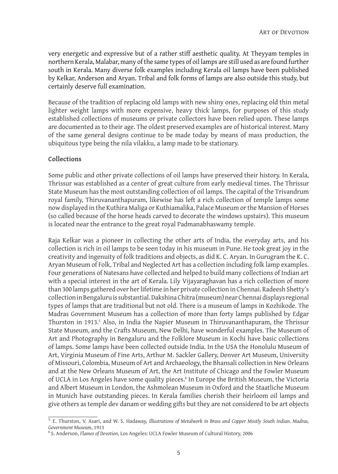very energetic and expressive but of a rather stiff aesthetic quality. At Theyyam temples in northern Kerala, Malabar, many of the same types of oil lamps are still used as are found further south in Kerala. Many diverse folk examples including Kerala oil lamps have been published by Kelkar, Anderson and Aryan. Tribal and folk forms of lamps are also outside this study, but certainly deserve full examination.

Because of the tradition of replacing old lamps with new shiny ones, replacing old thin metal lighter weight lamps with more expensive, heavy thick lamps, for purposes of this study established collections of museums or private collectors have been relied upon. These lamps are documented as to their age. The oldest preserved examples are of historical interest. Many of the same general designs continue to be made today by means of mass production, the ubiquitous type being the nila vilakku, a lamp made to be stationary.

#### **Collections**

Some public and other private collections of oil lamps have preserved their history. In Kerala, Thrissur was established as a center of great culture from early medieval times. The Thrissur State Museum has the most outstanding collection of oil lamps. The capital of the Trivandrum royal family, Thiruvananthapuram, likewise has left a rich collection of temple lamps some now displayed in the Kuthira Maliga or Kuthiamalika, Palace Museum or the Mansion of Horses (so called because of the horse heads carved to decorate the windows upstairs). This museum is located near the entrance to the great royal Padmanabhaswamy temple.

Raja Kelkar was a pioneer in collecting the other arts of India, the everyday arts, and his collection is rich in oil lamps to be seen today in his museum in Pune. He took great joy in the creativity and ingenuity of folk traditions and objects, as did K. C. Aryan. In Gurugram the K. C. Aryan Museum of Folk, Tribal and Neglected Art has a collection including folk lamp examples. Four generations of Natesans have collected and helped to build many collections of Indian art with a special interest in the art of Kerala. Lily Vijayaraghavan has a rich collection of more than 300 lamps gathered over her lifetime in her private collection in Chennai. Radeesh Shetty's collection in Bengaluru is substantial. Dakshina Chitra (museum) near Chennai displays regional types of lamps that are traditional but not old. There is a museum of lamps in Kozhikode. The Madras Government Museum has a collection of more than forty lamps published by Edgar Thurston in 1913.<sup>5</sup> Also, in India the Napier Museum in Thiruvananthapuram, the Thrissur State Museum, and the Crafts Museum, New Delhi, have wonderful examples. The Museum of Art and Photography in Bengaluru and the Folklore Museum in Kochi have basic collections of lamps. Some lamps have been collected outside India. In the USA the Honolulu Museum of Art, Virginia Museum of Fine Arts, Arthur M. Sackler Gallery, Denver Art Museum, University of Missouri, Colombia, Museum of Art and Archaeology, the Bhansali collection in New Orleans and at the New Orleans Museum of Art, the Art Institute of Chicago and the Fowler Museum of UCLA in Los Angeles have some quality pieces.<sup>6</sup> In Europe the British Museum, the Victoria and Albert Museum in London, the Ashmolean Museum in Oxford and the Staatliche Museum in Munich have outstanding pieces. In Kerala families cherish their heirloom oil lamps and give others as temple dev danam or wedding gifts but they are not considered to be art objects

<sup>5</sup> E. Thurston, V. Asari, and W. S. Hadaway, *Illustrations of Metalwork in Brass and Copper Mostly South Indian. Madras,* 

<sup>&</sup>lt;sup>6</sup> S. Anderson, *Flames of Devotion*, Los Angeles: UCLA Fowler Museum of Cultural History, 2006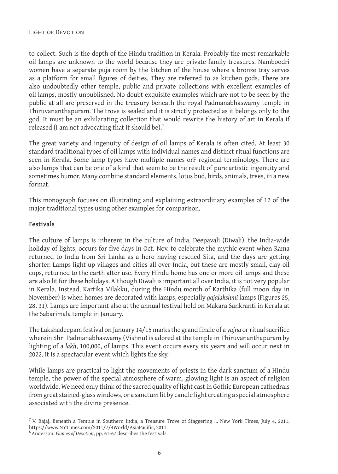to collect. Such is the depth of the Hindu tradition in Kerala. Probably the most remarkable oil lamps are unknown to the world because they are private family treasures. Namboodri women have a separate puja room by the kitchen of the house where a bronze tray serves as a platform for small figures of deities. They are referred to as kitchen gods. There are also undoubtedly other temple, public and private collections with excellent examples of oil lamps, mostly unpublished. No doubt exquisite examples which are not to be seen by the public at all are preserved in the treasury beneath the royal Padmanabhaswamy temple in Thiruvananthapuram. The trove is sealed and it is strictly protected as it belongs only to the god. It must be an exhilarating collection that would rewrite the history of art in Kerala if released (I am not advocating that it should be).7

The great variety and ingenuity of design of oil lamps of Kerala is often cited. At least 30 standard traditional types of oil lamps with individual names and distinct ritual functions are seen in Kerala. Some lamp types have multiple names orF regional terminology. There are also lamps that can be one of a kind that seem to be the result of pure artistic ingenuity and sometimes humor. Many combine standard elements, lotus bud, birds, animals, trees, in a new format.

This monograph focuses on illustrating and explaining extraordinary examples of 12 of the major traditional types using other examples for comparison.

#### **Festivals**

The culture of lamps is inherent in the culture of India. Deepavali (Diwali), the India-wide holiday of lights, occurs for five days in Oct.-Nov. to celebrate the mythic event when Rama returned to India from Sri Lanka as a hero having rescued Sita, and the days are getting shorter. Lamps light up villages and cities all over India, but these are mostly small, clay oil cups, returned to the earth after use. Every Hindu home has one or more oil lamps and these are also lit for these holidays. Although Diwali is important all over India, it is not very popular in Kerala. Instead, Kartika Vilakku, during the Hindu month of Karthika (full moon day in November) is when homes are decorated with lamps, especially *gajalakshmi* lamps (Figures 25, 28, 31). Lamps are important also at the annual festival held on Makara Sankranti in Kerala at the Sabarimala temple in January.

The Lakshadeepam festival on January 14/15 marks the grand finale of a *yajna* or ritual sacrifice wherein Shri Padmanabhaswamy (Vishnu) is adored at the temple in Thiruvananthapuram by lighting of a *lakh*, 100,000, of lamps. This event occurs every six years and will occur next in 2022. It is a spectacular event which lights the sky.<sup>8</sup>

While lamps are practical to light the movements of priests in the dark sanctum of a Hindu temple, the power of the special atmosphere of warm, glowing light is an aspect of religion worldwide. We need only think of the sacred quality of light cast in Gothic European cathedrals from great stained-glass windows, or a sanctum lit by candle light creating a special atmosphere associated with the divine presence.

<sup>&</sup>lt;sup>7</sup> V. Bajaj, Beneath a Temple in Southern India, a Treasure Trove of Staggering ... New York Times, July 4, 2011. https://www.NYTimes.com/2011/7/4World/AsiaPacific, 2011

<sup>8</sup> Anderson, *Flames of Devotion*, pp. 61-67 describes the festivals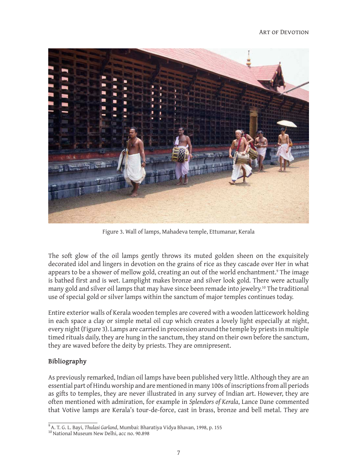

Figure 3. Wall of lamps, Mahadeva temple, Ettumanar, Kerala

The soft glow of the oil lamps gently throws its muted golden sheen on the exquisitely decorated idol and lingers in devotion on the grains of rice as they cascade over Her in what appears to be a shower of mellow gold, creating an out of the world enchantment.<sup>9</sup> The image is bathed first and is wet. Lamplight makes bronze and silver look gold. There were actually many gold and silver oil lamps that may have since been remade into jewelry.<sup>10</sup> The traditional use of special gold or silver lamps within the sanctum of major temples continues today.

Entire exterior walls of Kerala wooden temples are covered with a wooden latticework holding in each space a clay or simple metal oil cup which creates a lovely light especially at night, every night (Figure 3). Lamps are carried in procession around the temple by priests in multiple timed rituals daily, they are hung in the sanctum, they stand on their own before the sanctum, they are waved before the deity by priests. They are omnipresent.

### **Bibliography**

As previously remarked, Indian oil lamps have been published very little. Although they are an essential part of Hindu worship and are mentioned in many 100s of inscriptions from all periods as gifts to temples, they are never illustrated in any survey of Indian art. However, they are often mentioned with admiration, for example in *Splendors of Kerala*, Lance Dane commented that Votive lamps are Kerala's tour-de-force, cast in brass, bronze and bell metal. They are

<sup>&</sup>lt;sup>9</sup> A. T. G. L. Bayi, *Thulasi Garland*, Mumbai: Bharatiya Vidya Bhavan, 1998, p. 155<br><sup>10</sup> National Museum New Delhi, acc no. 90.898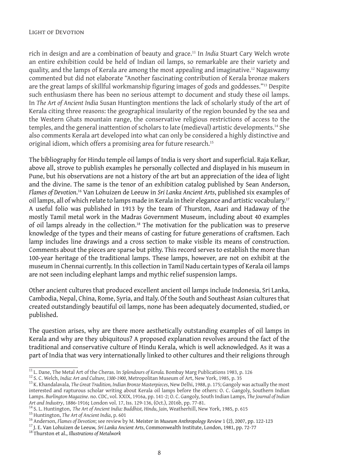#### Light of Devotion

rich in design and are a combination of beauty and grace.11 In *India* Stuart Cary Welch wrote an entire exhibition could be held of Indian oil lamps, so remarkable are their variety and quality, and the lamps of Kerala are among the most appealing and imaginative.12 Nagaswamy commented but did not elaborate "Another fascinating contribution of Kerala bronze makers are the great lamps of skillful workmanship figuring images of gods and goddesses."<sup>13</sup> Despite such enthusiasm there has been no serious attempt to document and study these oil lamps. In *The Art of Ancient India* Susan Huntington mentions the lack of scholarly study of the art of Kerala citing three reasons: the geographical insularity of the region bounded by the sea and the Western Ghats mountain range, the conservative religious restrictions of access to the temples, and the general inattention of scholars to late (medieval) artistic developments.14 She also comments Kerala art developed into what can only be considered a highly distinctive and original idiom, which offers a promising area for future research.<sup>15</sup>

The bibliography for Hindu temple oil lamps of India is very short and superficial. Raja Kelkar, above all, strove to publish examples he personally collected and displayed in his museum in Pune, but his observations are not a history of the art but an appreciation of the idea of light and the divine. The same is the tenor of an exhibition catalog published by Sean Anderson, *Flames of Devotion*. 16 Van Lohuizen de Leeuw in *Sri Lanka Ancient Arts*, published six examples of oil lamps, all of which relate to lamps made in Kerala in their elegance and artistic vocabulary.17 A useful folio was published in 1913 by the team of Thurston, Asari and Hadaway of the mostly Tamil metal work in the Madras Government Museum, including about 40 examples of oil lamps already in the collection.18 The motivation for the publication was to preserve knowledge of the types and their means of casting for future generations of craftsmen. Each lamp includes line drawings and a cross section to make visible its means of construction. Comments about the pieces are sparse but pithy. This record serves to establish the more than 100-year heritage of the traditional lamps. These lamps, however, are not on exhibit at the museum in Chennai currently. In this collection in Tamil Nadu certain types of Kerala oil lamps are not seen including elephant lamps and mythic relief suspension lamps.

Other ancient cultures that produced excellent ancient oil lamps include Indonesia, Sri Lanka, Cambodia, Nepal, China, Rome, Syria, and Italy. Of the South and Southeast Asian cultures that created outstandingly beautiful oil lamps, none has been adequately documented, studied, or published.

The question arises, why are there more aesthetically outstanding examples of oil lamps in Kerala and why are they ubiquitous? A proposed explanation revolves around the fact of the traditional and conservative culture of Hindu Kerala, which is well acknowledged. As it was a part of India that was very internationally linked to other cultures and their religions through

<sup>&</sup>lt;sup>11</sup> L. Dane, The Metal Art of the Cheras. In *Splendours of Kerala*. Bombay Marg Publications 1983, p. 126<br><sup>12</sup> S. C. Welch, *India: Art and Culture, 1300-1900*, Metropolitan Museum of Art, New York, 1985, p. 35<br><sup>13</sup> K. interested and rapturous scholar writing about Kerala oil lamps before the others: O. C. Gangoly, Southern Indian Lamps. *Burlington Magazine*. no. CDC, vol. XXIX, 1916a, pp. 141-2; O. C. Gangoly, South Indian Lamps, *The Journal of Indian* 

<sup>&</sup>lt;sup>14</sup> S. L. Huntington, *The Art of Ancient India: Buddhist, Hindu, Jain*, Weatherhill, New York, 1985, p. 615<br><sup>15</sup> Huntington, *The Art of Ancient India*, p. 601<br><sup>16</sup> Anderson, *Flames of Devotion*; see review by M. Meist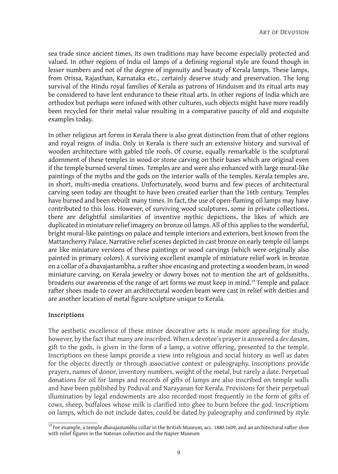sea trade since ancient times, its own traditions may have become especially protected and valued. In other regions of India oil lamps of a defining regional style are found though in lesser numbers and not of the degree of ingenuity and beauty of Kerala lamps. These lamps, from Orissa, Rajasthan, Karnataka etc., certainly deserve study and preservation. The long survival of the Hindu royal families of Kerala as patrons of Hinduism and its ritual arts may be considered to have lent endurance to these ritual arts. In other regions of India which are orthodox but perhaps were infused with other cultures, such objects might have more readily been recycled for their metal value resulting in a comparative paucity of old and exquisite examples today.

In other religious art forms in Kerala there is also great distinction from that of other regions and royal reigns of India. Only in Kerala is there such an extensive history and survival of wooden architecture with gabled tile roofs. Of course, equally remarkable is the sculptural adornment of these temples in wood or stone carving on their bases which are original even if the temple burned several times. Temples are and were also enhanced with large mural-like paintings of the myths and the gods on the interior walls of the temples. Kerala temples are, in short, multi-media creations. Unfortunately, wood burns and few pieces of architectural carving seen today are thought to have been created earlier than the 16th century. Temples have burned and been rebuilt many times. In fact, the use of open-flaming oil lamps may have contributed to this loss. However, of surviving wood sculptures, some in private collections, there are delightful similarities of inventive mythic depictions, the likes of which are duplicated in miniature relief imagery on bronze oil lamps. All of this applies to the wonderful, bright mural-like paintings on palace and temple interiors and exteriors, best known from the Mattancherry Palace. Narrative relief scenes depicted in cast bronze on early temple oil lamps are like miniature versions of these paintings or wood carvings (which were originally also painted in primary colors). A surviving excellent example of miniature relief work in bronze on a collar of a dhavajastambha, a rafter shoe encasing and protecting a wooden beam, in wood miniature carving, on Kerala jewelry or dowry boxes not to mention the art of goldsmiths, broadens our awareness of the range of art forms we must keep in mind.19 Temple and palace rafter shoes made to cover an architectural wooden beam were cast in relief with deities and are another location of metal figure sculpture unique to Kerala.

#### **Inscriptions**

The aesthetic excellence of these minor decorative arts is made more appealing for study, however, by the fact that many are inscribed. When a devotee's prayer is answered a *dev danam*, gift to the gods, is given in the form of a lamp, a votive offering, presented to the temple. Inscriptions on these lamps provide a view into religious and social history as well as dates for the objects directly or through associative context or paleography. Inscriptions provide prayers, names of donor, inventory numbers, weight of the metal, but rarely a date. Perpetual donations for oil for lamps and records of gifts of lamps are also inscribed on temple walls and have been published by Poduval and Narayanan for Kerala. Provisions for their perpetual illumination by legal endowments are also recorded most frequently in the form of gifts of cows, sheep, buffaloes whose milk is clarified into ghee to burn before the god. Inscriptions on lamps, which do not include dates, could be dated by paleography and confirmed by style

<sup>19</sup> For example, a temple *dhavajastambha* collar in the British Museum, acc. 1880.1609, and an architectural rafter shoe with relief figures in the Natesan collection and the Napier Museum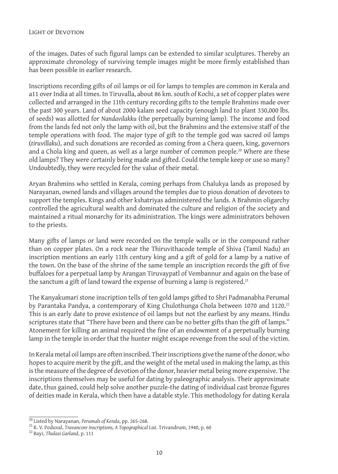of the images. Dates of such figural lamps can be extended to similar sculptures. Thereby an approximate chronology of surviving temple images might be more firmly established than has been possible in earlier research.

Inscriptions recording gifts of oil lamps or oil for lamps to temples are common in Kerala and a11 over India at all times. In Tiruvalla, about 86 km. south of Kochi, a set of copper plates were collected and arranged in the 11th century recording gifts to the temple Brahmins made over the past 300 years. Land of about 2000 kalam seed capacity (enough land to plant 330,000 lbs. of seeds) was allotted for *Nandavilakku* (the perpetually burning lamp). The income and food from the lands fed not only the lamp with oil, but the Brahmins and the extensive staff of the temple operations with food. The major type of gift to the temple god was sacred oil lamps (*tiruvillaku*), and such donations are recorded as coming from a Chera queen, king, governors and a Chola king and queen, as well as a large number of common people.<sup>20</sup> Where are these old lamps? They were certainly being made and gifted. Could the temple keep or use so many? Undoubtedly, they were recycled for the value of their metal.

Aryan Brahmins who settled in Kerala, coming perhaps from Chalukya lands as proposed by Narayanan, owned lands and villages around the temples due to pious donation of devotees to support the temples. Kings and other kshatriyas administered the lands. A Brahmin oligarchy controlled the agricultural wealth and dominated the culture and religion of the society and maintained a ritual monarchy for its administration. The kings were administrators behoven to the priests.

Many gifts of lamps or land were recorded on the temple walls or in the compound rather than on copper plates. On a rock near the Thiruvithacode temple of Shiva (Tamil Nadu) an inscription mentions an early 11th century king and a gift of gold for a lamp by a native of the town. On the base of the shrine of the same temple an inscription records the gift of five buffaloes for a perpetual lamp by Arangan Tiruvaypatl of Vembannur and again on the base of the sanctum a gift of land toward the expense of burning a lamp is registered.<sup>21</sup>

The Kanyakumari stone inscription tells of ten gold lamps gifted to Shri Padmanabha Perumal by Parantaka Pandya, a contemporary of King Chulothunga Chola between 1070 and 1120.<sup>22</sup> This is an early date to prove existence of oil lamps but not the earliest by any means. Hindu scriptures state that "There have been and there can be no better gifts than the gift of lamps." Atonement for killing an animal required the fine of an endowment of a perpetually burning lamp in the temple in order that the hunter might escape revenge from the soul of the victim.

In Kerala metal oil lamps are often inscribed. Their inscriptions give the name of the donor, who hopes to acquire merit by the gift, and the weight of the metal used in making the lamp, as this is the measure of the degree of devotion of the donor, heavier metal being more expensive. The inscriptions themselves may be useful for dating by paleographic analysis. Their approximate date, thus gained, could help solve another puzzle-the dating of individual cast bronze figures of deities made in Kerala, which then have a datable style. This methodology for dating Kerala

<sup>&</sup>lt;sup>20</sup> Listed by Narayanan, *Perumals of Kerala*, pp. 265-268.<br><sup>21</sup> R. V. Poduval, *Travancore Inscriptions, A Topographical List*. Trivandrum, 1940, p. 60<br><sup>22</sup> Bayi, *Thulasi Garland*, p. 111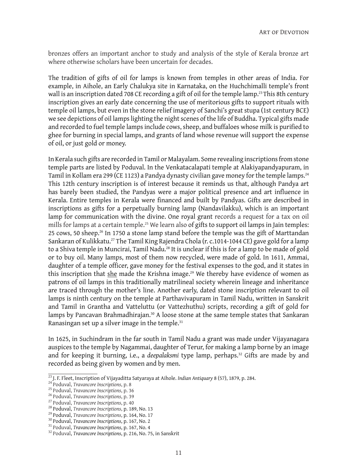bronzes offers an important anchor to study and analysis of the style of Kerala bronze art where otherwise scholars have been uncertain for decades.

The tradition of gifts of oil for lamps is known from temples in other areas of India. For example, in Aihole, an Early Chalukya site in Karnataka, on the Huchchimalli temple's front wall is an inscription dated 708 CE recording a gift of oil for the temple lamp.<sup>23</sup> This 8th century inscription gives an early date concerning the use of meritorious gifts to support rituals with temple oil lamps, but even in the stone relief imagery of Sanchi's great stupa (1st century BCE) we see depictions of oil lamps lighting the night scenes of the life of Buddha. Typical gifts made and recorded to fuel temple lamps include cows, sheep, and buffaloes whose milk is purified to ghee for burning in special lamps, and grants of land whose revenue will support the expense of oil, or just gold or money.

In Kerala such gifts are recorded in Tamil or Malayalam. Some revealing inscriptions from stone temple parts are listed by Poduval. In the Venkatacalapati temple at Alakiyapandyapuram, in Tamil in Kollam era 299 (CE 1123) a Pandya dynasty civilian gave money for the temple lamps.<sup>24</sup> This 12th century inscription is of interest because it reminds us that, although Pandya art has barely been studied, the Pandyas were a major political presence and art influence in Kerala. Entire temples in Kerala were financed and built by Pandyas. Gifts are described in inscriptions as gifts for a perpetually burning lamp (Nandavilakku), which is an important lamp for communication with the divine. One royal grant records a request for a tax on oil mills for lamps at a certain temple.<sup>25</sup> We learn also of gifts to support oil lamps in Jain temples: 25 cows, 50 sheep.<sup>26</sup> In 1750 a stone lamp stand before the temple was the gift of Marttandan Sankaran of Kulikkatu.<sup>27</sup> The Tamil King Rajendra Chola (r. c.1014-1044 CE) gave gold for a lamp to a Shiva temple in Muncirai, Tamil Nadu.28 It is unclear if this is for a lamp to be made of gold or to buy oil. Many lamps, most of them now recycled, were made of gold. In 1611, Ammai, daughter of a temple officer, gave money for the festival expenses to the god, and it states in this inscription that she made the Krishna image.<sup>29</sup> We thereby have evidence of women as patrons of oil lamps in this traditionally matrilineal society wherein lineage and inheritance are traced through the mother's line. Another early, dated stone inscription relevant to oil lamps is ninth century on the temple at Parthavivapuram in Tamil Nadu, written in Sanskrit and Tamil in Grantha and Vatteluttu (or Vattezhuthu) scripts, recording a gift of gold for lamps by Pancavan Brahmadhirajan.<sup>30</sup> A loose stone at the same temple states that Sankaran Ranasingan set up a silver image in the temple.<sup>31</sup>

In 1625, in Suchindram in the far south in Tamil Nadu a grant was made under Vijayanagara auspices to the temple by Nagammai, daughter of Terur, for making a lamp borne by an image and for keeping it burning, i.e., a *deepalaksmi* type lamp, perhaps.<sup>32</sup> Gifts are made by and recorded as being given by women and by men.

<sup>&</sup>lt;sup>23</sup> J. F. Fleet, Inscription of Vijayaditta Satyaraya at Aihole. *Indian Antiquary* 8 (57), 1879, p. 284.<br>
<sup>24</sup> Poduval, *Travancore Inscriptions*, p. 8<br>
<sup>25</sup> Poduval, *Travancore Inscriptions*, p. 36<br>
<sup>26</sup> Poduval, *Tra*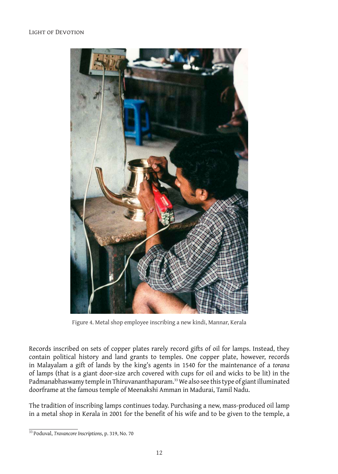

Figure 4. Metal shop employee inscribing a new kindi, Mannar, Kerala

Records inscribed on sets of copper plates rarely record gifts of oil for lamps. Instead, they contain political history and land grants to temples. One copper plate, however, records in Malayalam a gift of lands by the king's agents in 1540 for the maintenance of a *torana* of lamps (that is a giant door-size arch covered with cups for oil and wicks to be lit) in the Padmanabhaswamy temple in Thiruvananthapuram.33 We also see this type of giant illuminated doorframe at the famous temple of Meenakshi Amman in Madurai, Tamil Nadu.

The tradition of inscribing lamps continues today. Purchasing a new, mass-produced oil lamp in a metal shop in Kerala in 2001 for the benefit of his wife and to be given to the temple, a

<sup>33</sup> Poduval, *Travancore Inscriptions*, p. 319, No. 70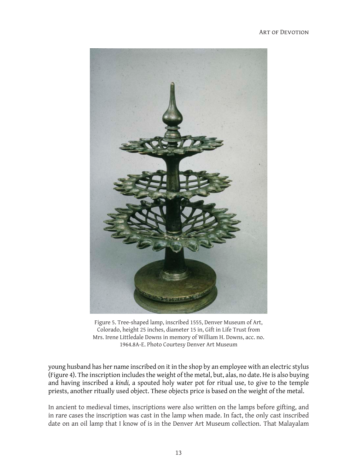#### Art of Devotion



Figure 5. Tree-shaped lamp, inscribed 1555, Denver Museum of Art, Colorado, height 25 inches, diameter 15 in, Gift in Life Trust from Mrs. Irene Littledale Downs in memory of William H. Downs, acc. no. 1964.8A-E. Photo Courtesy Denver Art Museum

young husband has her name inscribed on it in the shop by an employee with an electric stylus (Figure 4). The inscription includes the weight of the metal, but, alas, no date. He is also buying and having inscribed a *kindi,* a spouted holy water pot for ritual use, to give to the temple priests, another ritually used object. These objects price is based on the weight of the metal.

In ancient to medieval times, inscriptions were also written on the lamps before gifting, and in rare cases the inscription was cast in the lamp when made. In fact, the only cast inscribed date on an oil lamp that I know of is in the Denver Art Museum collection. That Malayalam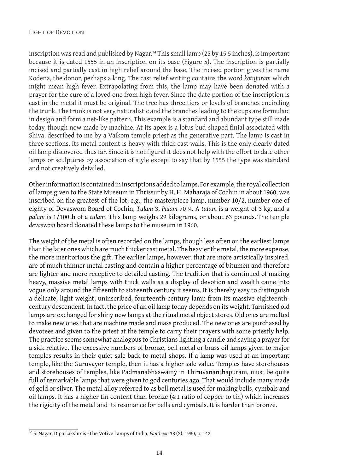inscription was read and published by Nagar.<sup>34</sup> This small lamp (25 by 15.5 inches), is important because it is dated 1555 in an inscription on its base (Figure 5). The inscription is partially incised and partially cast in high relief around the base. The incised portion gives the name Kodena, the donor, perhaps a king. The cast relief writing contains the word *kotujuram* which might mean high fever. Extrapolating from this, the lamp may have been donated with a prayer for the cure of a loved one from high fever. Since the date portion of the inscription is cast in the metal it must be original. The tree has three tiers or levels of branches encircling the trunk. The trunk is not very naturalistic and the branches leading to the cups are formulaic in design and form a net-like pattern. This example is a standard and abundant type still made today, though now made by machine. At its apex is a lotus bud-shaped finial associated with Shiva, described to me by a Vaikom temple priest as the generative part. The lamp is cast in three sections. Its metal content is heavy with thick cast walls. This is the only clearly dated oil lamp discovered thus far. Since it is not figural it does not help with the effort to date other lamps or sculptures by association of style except to say that by 1555 the type was standard and not creatively detailed.

Other information is contained in inscriptions added to lamps. For example, the royal collection of lamps given to the State Museum in Thrissur by H. H. Maharaja of Cochin in about 1960, was inscribed on the greatest of the lot, e.g., the masterpiece lamp, number 10/2, number one of eighty of Devaswom Board of Cochin, *Tulam* 3, *Palam* 70 ¼. A *tulum* is a weight of 3 kg. and a *palam* is 1/100th of a *tulam*. This lamp weighs 29 kilograms, or about 63 pounds. The temple *devaswom* board donated these lamps to the museum in 1960.

The weight of the metal is often recorded on the lamps, though less often on the earliest lamps than the later ones which are much thicker cast metal. The heavier the metal, the more expense, the more meritorious the gift. The earlier lamps, however, that are more artistically inspired, are of much thinner metal casting and contain a higher percentage of bitumen and therefore are lighter and more receptive to detailed casting. The tradition that is continued of making heavy, massive metal lamps with thick walls as a display of devotion and wealth came into vogue only around the fifteenth to sixteenth century it seems. It is thereby easy to distinguish a delicate, light weight, uninscribed, fourteenth-century lamp from its massive eighteenthcentury descendent. In fact, the price of an oil lamp today depends on its weight. Tarnished old lamps are exchanged for shiny new lamps at the ritual metal object stores. Old ones are melted to make new ones that are machine made and mass produced. The new ones are purchased by devotees and given to the priest at the temple to carry their prayers with some priestly help. The practice seems somewhat analogous to Christians lighting a candle and saying a prayer for a sick relative. The excessive numbers of bronze, bell metal or brass oil lamps given to major temples results in their quiet sale back to metal shops. If a lamp was used at an important temple, like the Guruvayor temple, then it has a higher sale value. Temples have storehouses and storehouses of temples, like Padmanabhaswamy in Thiruvananthapuram, must be quite full of remarkable lamps that were given to god centuries ago. That would include many made of gold or silver. The metal alloy referred to as bell metal is used for making bells, cymbals and oil lamps. It has a higher tin content than bronze (4:1 ratio of copper to tin) which increases the rigidity of the metal and its resonance for bells and cymbals. It is harder than bronze.

<sup>34</sup> S. Nagar, Dipa Lakshmis -The Votive Lamps of India, *Pantheon* 38 (2), 1980, p. 142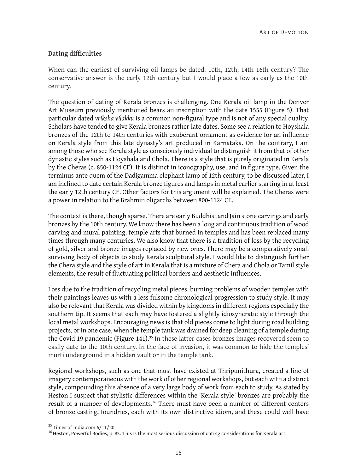### **Dating difficulties**

When can the earliest of surviving oil lamps be dated: 10th, 12th, 14th 16th century? The conservative answer is the early 12th century but I would place a few as early as the 10th century.

The question of dating of Kerala bronzes is challenging. One Kerala oil lamp in the Denver Art Museum previously mentioned bears an inscription with the date 1555 (Figure 5). That particular dated *vriksha vilakku* is a common non-figural type and is not of any special quality. Scholars have tended to give Kerala bronzes rather late dates. Some see a relation to Hoyshala bronzes of the 12th to 14th centuries with exuberant ornament as evidence for an influence on Kerala style from this late dynasty's art produced in Karnataka. On the contrary, I am among those who see Kerala style as consciously individual to distinguish it from that of other dynastic styles such as Hoyshala and Chola. There is a style that is purely originated in Kerala by the Cheras (c. 850-1124 CE). It is distinct in iconography, use, and in figure type. Given the terminus ante quem of the Dadigamma elephant lamp of 12th century, to be discussed later, I am inclined to date certain Kerala bronze figures and lamps in metal earlier starting in at least the early 12th century CE. Other factors for this argument will be explained. The Cheras were a power in relation to the Brahmin oligarchs between 800-1124 CE.

The context is there, though sparse. There are early Buddhist and Jain stone carvings and early bronzes by the 10th century. We know there has been a long and continuous tradition of wood carving and mural painting, temple arts that burned in temples and has been replaced many times through many centuries. We also know that there is a tradition of loss by the recycling of gold, silver and bronze images replaced by new ones. There may be a comparatively small surviving body of objects to study Kerala sculptural style. I would like to distinguish further the Chera style and the style of art in Kerala that is a mixture of Chera and Chola or Tamil style elements, the result of fluctuating political borders and aesthetic influences.

Loss due to the tradition of recycling metal pieces, burning problems of wooden temples with their paintings leaves us with a less fulsome chronological progression to study style. It may also be relevant that Kerala was divided within by kingdoms in different regions especially the southern tip. It seems that each may have fostered a slightly idiosyncratic style through the local metal workshops. Encouraging news is that old pieces come to light during road building projects, or in one case, when the temple tank was drained for deep cleaning of a temple during the Covid 19 pandemic (Figure 141).<sup>35</sup> In these latter cases bronzes images recovered seem to easily date to the 10th century. In the face of invasion, it was common to hide the temples' murti underground in a hidden vault or in the temple tank.

Regional workshops, such as one that must have existed at Thripunithura, created a line of imagery contemporaneous with the work of other regional workshops, but each with a distinct style, compounding this absence of a very large body of work from each to study. As stated by Heston I suspect that stylistic differences within the 'Kerala style' bronzes are probably the result of a number of developments.36 There must have been a number of different centers of bronze casting, foundries, each with its own distinctive idiom, and these could well have

<sup>&</sup>lt;sup>35</sup> Times of India.com 6/11/20<br><sup>36</sup> Heston, Powerful Bodies, p. 83. This is the most serious discussion of dating considerations for Kerala art.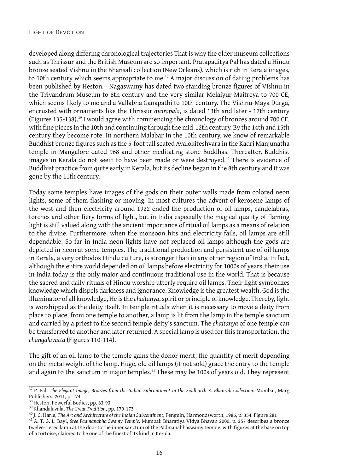developed along differing chronological trajectories That is why the older museum collections such as Thrissur and the British Museum are so important. Pratapaditya Pal has dated a Hindu bronze seated Vishnu in the Bhansali collection (New Orleans), which is rich in Kerala images, to 10th century which seems appropriate to me.<sup>37</sup> A major discussion of dating problems has been published by Heston.<sup>38</sup> Nagaswamy has dated two standing bronze figures of Vishnu in the Trivandrum Museum to 8th century and the very similar Melaiyur Maitreya to 700 CE, which seems likely to me and a Vallabha Ganapathi to 10th century. The Vishnu-Maya Durga, encrusted with ornaments like the Thrissur *dvarapala*, is dated 13th and later - 17th century (Figures 135-138).39 I would agree with commencing the chronology of bronzes around 700 CE, with fine pieces in the 10th and continuing through the mid-12th century. By the 14th and 15th century they become rote. In northern Malabar in the 10th century, we know of remarkable Buddhist bronze figures such as the 5-foot tall seated Avalokiteshvara in the Kadri Manjunatha temple in Mangalore dated 968 and other meditating stone Buddhas. Thereafter, Buddhist images in Kerala do not seem to have been made or were destroyed.<sup>40</sup> There is evidence of Buddhist practice from quite early in Kerala, but its decline began in the 8th century and it was gone by the 11th century.

Today some temples have images of the gods on their outer walls made from colored neon lights, some of them flashing or moving. In most cultures the advent of kerosene lamps of the west and then electricity around 1922 ended the production of oil lamps, candelabras, torches and other fiery forms of light, but in India especially the magical quality of flaming light is still valued along with the ancient importance of ritual oil lamps as a means of relation to the divine. Furthermore, when the monsoon hits and electricity fails, oil lamps are still dependable. So far in India neon lights have not replaced oil lamps although the gods are depicted in neon at some temples. The traditional production and persistent use of oil lamps in Kerala, a very orthodox Hindu culture, is stronger than in any other region of India. In fact, although the entire world depended on oil lamps before electricity for 1000s of years, their use in India today is the only major and continuous traditional use in the world. That is because the sacred and daily rituals of Hindu worship utterly require oil lamps. Their light symbolizes knowledge which dispels darkness and ignorance. Knowledge is the greatest wealth. God is the illuminator of all knowledge, He is the *chaitanya*, spirit or principle of knowledge. Thereby, light is worshipped as the deity itself. In temple rituals when it is necessary to move a deity from place to place, from one temple to another, a lamp is lit from the lamp in the temple sanctum and carried by a priest to the second temple deity's sanctum. The *chaitanya* of one temple can be transferred to another and later returned. A special lamp is used for this transportation, the *changalavatta* (Figures 110-114).

The gift of an oil lamp to the temple gains the donor merit, the quantity of merit depending on the metal weight of the lamp. Huge, old oil lamps (if not sold) grace the entry to the temple and again to the sanctum in major temples.<sup>41</sup> These may be 100s of years old. They represent

<sup>37</sup> P. Pal, *The Elegant Image, Bronzes from the Indian Subcontinent in the Siddharth K. Bhansali Collection*: Mumbai, Marg Publishers, 2011, p. 174<br><sup>38</sup> Heston, Powerful Bodies, pp. 63-93

<sup>&</sup>lt;sup>39</sup> Khandalavala, *The Great Tradition*, pp. 170-173<br><sup>40</sup> J. C. Harle, *The Art and Architecture of the Indian Subcontinent*, Penguin, Harmondsworth, 1986, p. 354, Figure 281<br><sup>41</sup> A. T. G. L. Bayi, *Sree Padmanabha Swamy* 

twelve-tiered lamp at the door to the inner sanctum of the Padmanabhaswamy temple, with figures at the base on top of a tortoise, claimed to be one of the finest of its kind in Kerala.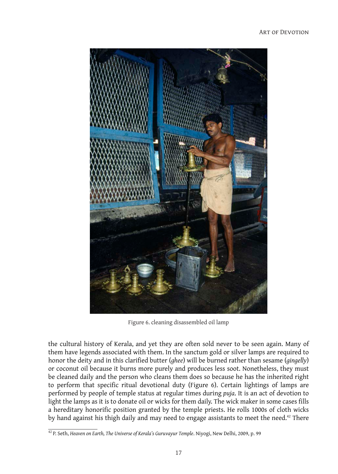

Figure 6. cleaning disassembled oil lamp

the cultural history of Kerala, and yet they are often sold never to be seen again. Many of them have legends associated with them. In the sanctum gold or silver lamps are required to honor the deity and in this clarified butter (*ghee*) will be burned rather than sesame (*gingelly*) or coconut oil because it burns more purely and produces less soot. Nonetheless, they must be cleaned daily and the person who cleans them does so because he has the inherited right to perform that specific ritual devotional duty (Figure 6). Certain lightings of lamps are performed by people of temple status at regular times during *puja*. It is an act of devotion to light the lamps as it is to donate oil or wicks for them daily. The wick maker in some cases fills a hereditary honorific position granted by the temple priests. He rolls 1000s of cloth wicks by hand against his thigh daily and may need to engage assistants to meet the need.<sup>42</sup> There

<sup>42</sup> P. Seth, *Heaven on Earth, The Universe of Kerala's Guruvayur Temple*. Niyogi, New Delhi, 2009, p. 99